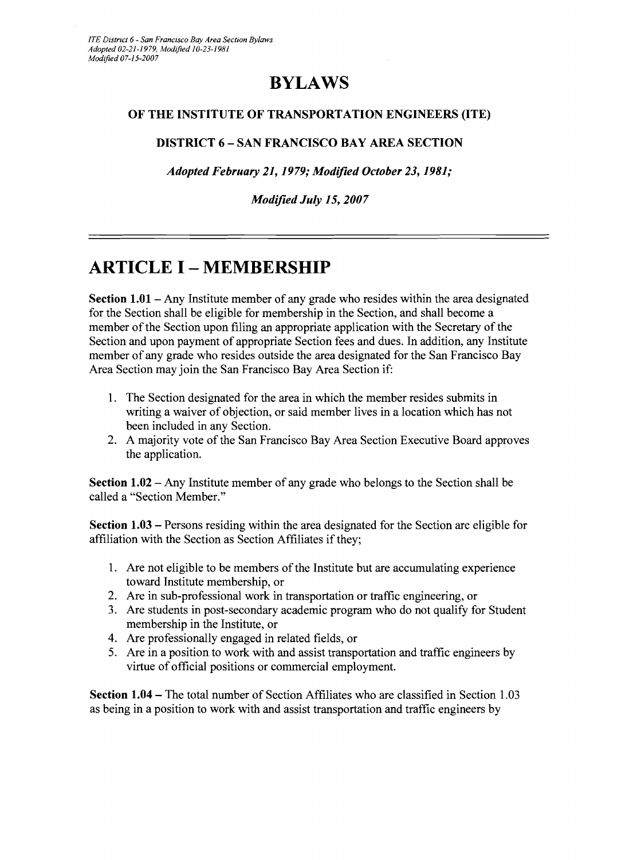#### **BYLAWS**

#### OF THE INSTITUTE OF TRANSPORTATION ENGINEERS (ITE)

#### DISTRICT 6 - SAN FRANCISCO BAY AREA SECTION

*Adopted February* 21,1979; *Modified October* 23,1981;

*Modified July* 15, *2007* 

### **ARTICLE I - MEMBERSHIP**

Section 1.01 - Any Institute member of any grade who resides within the area designated for the Section shall be eligible for membership in the Section, and shall become a member of the Section upon filing an appropriate application with the Secretary of the Section and upon payment of appropriate Section fees and dues. In addition, any Institute member of any grade who resides outside the area designated for the San Francisco Bay Area Section may join the San Francisco Bay Area Section if:

- 1. The Section designated for the area in which the member resides submits in writing a waiver of objection, or said member lives in a location which has not been included in any Section.
- 2. A majority vote of the San Francisco Bay Area Section Executive Board approves the application.

Section 1.02 - Any Institute member of any grade who belongs to the Section shall be called a "Section Member."

Section 1.03 - Persons residing within the area designated for the Section are eligible for affiliation with the Section as Section Affiliates if they;

- 1. Are not eligible to be members of the Institute but are accumulating experience toward Institute membership, or
- 2. Are in sub-professional work in transportation or traffic engineering, or
- 3. Are students in post-secondary academic program who do not qualify for Student membership in the Institute, or
- 4. Are professionally engaged in related fields, or
- 5. Are in a position to work with and assist transportation and traffic engineers by virtue of official positions or commercial employment.

Section 1.04 – The total number of Section Affiliates who are classified in Section 1.03 as being in a position to work with and assist transportation and traffic engineers by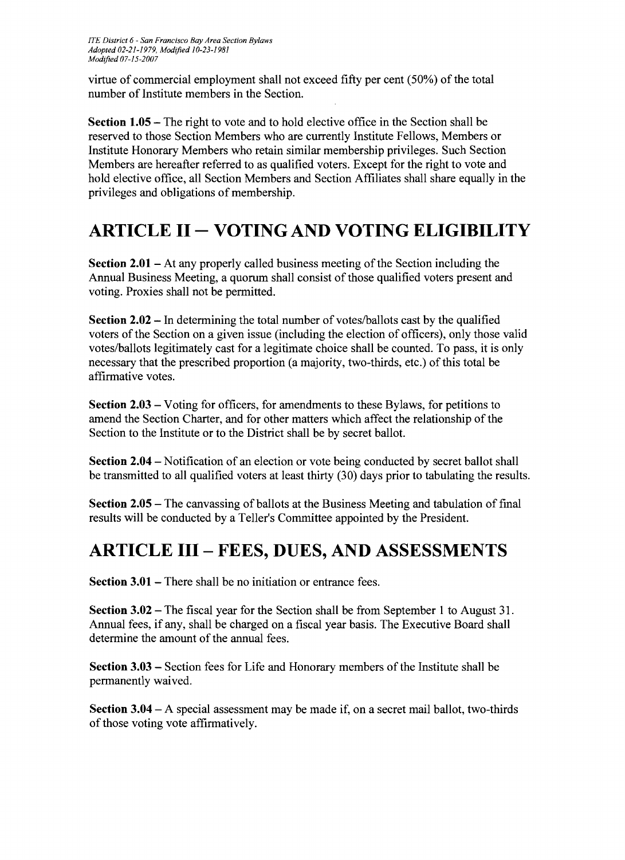virtue of commercial employment shall not exceed fifty per cent (50%) of the total number of Institute members in the Section.

**Section 1.05** – The right to vote and to hold elective office in the Section shall be reserved to those Section Members who are currently Institute Fellows, Members or Institute Honorary Members who retain similar membership privileges. Such Section Members are hereafter referred to as qualified voters. Except for the right to vote and hold elective office, all Section Members and Section Affiliates shall share equally in the privileges and obligations of membership.

## **ARTICLE II - VOTING AND VOTING ELIGIBILITY**

**Section 2.01** – At any properly called business meeting of the Section including the Annual Business Meeting, a quorum shall consist of those qualified voters present and voting. Proxies shall not be permitted.

**Section 2.02** – In determining the total number of votes/ballots cast by the qualified voters of the Section on a given issue (including the election of officers), only those valid votes/ballots legitimately cast for a legitimate choice shall be counted. To pass, it is only necessary that the prescribed proportion (a majority, two-thirds, etc.) of this total be affirmative votes.

**Section 2.03** - Voting for officers, for amendments to these Bylaws, for petitions to amend the Section Charter, and for other matters which affect the relationship of the Section to the Institute or to the District shall be by secret ballot.

**Section 2.04** - Notification of an election or vote being conducted by secret ballot shall be transmitted to all qualified voters at least thirty (30) days prior to tabulating the results.

**Section 2.05** - The canvassing of ballots at the Business Meeting and tabulation of final results will be conducted by a Teller's Committee appointed by the President.

## **ARTICLE III - FEES, DUES, AND ASSESSMENTS**

**Section 3.01 – There shall be no initiation or entrance fees.** 

**Section 3.02** - The fiscal year for the Section shall be from September 1 to August 31. Annual fees, if any, shall be charged on a fiscal year basis. The Executive Board shall determine the amount of the annual fees.

**Section 3.03 -** Section fees for Life and Honorary members of the Institute shall be permanently waived.

**Section 3.04** - A special assessment may be made if, on a secret mail ballot, two-thirds of those voting vote affirmatively.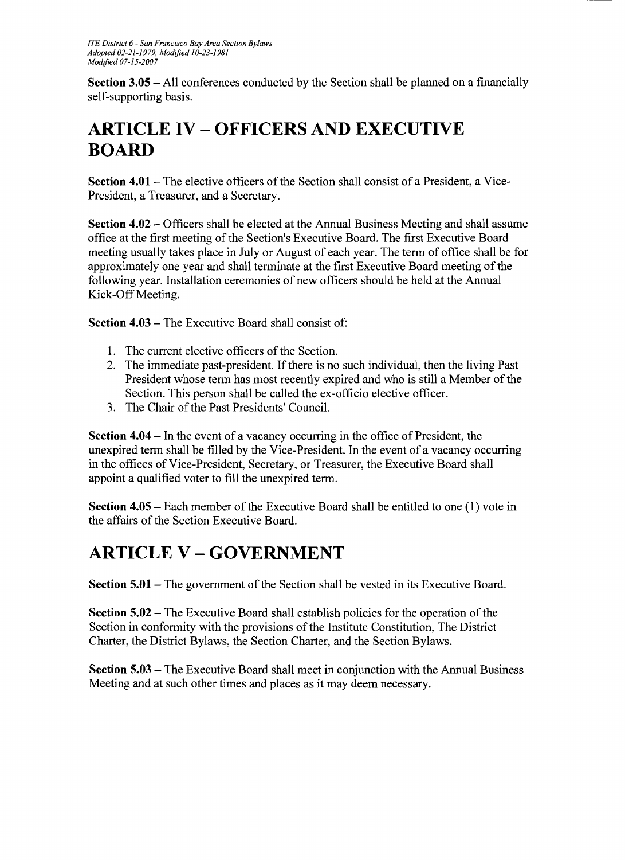**Section 3.05** - All conferences conducted by the Section shall be planned on a financially self-supporting basis.

# **ARTICLE IV - OFFICERS AND EXECUTIVE BOARD**

**Section 4.01** – The elective officers of the Section shall consist of a President, a Vice-President, a Treasurer, and a Secretary.

**Section 4.02 – Officers shall be elected at the Annual Business Meeting and shall assume** office at the first meeting of the Section's Executive Board. The first Executive Board meeting usually takes place in July or August of each year. The term of office shall be for approximately one year and shall terminate at the first Executive Board meeting of the following year. Installation ceremonies of new officers should be held at the Annual Kick-Off Meeting.

**Section 4.03 – The Executive Board shall consist of:** 

- 1. The current elective officers of the Section.
- 2. The immediate past-president. If there is no such individual, then the living Past President whose term has most recently expired and who is still a Member of the Section. This person shall be called the ex-officio elective officer.
- 3. The Chair of the Past Presidents' Council.

**Section 4.04 – In the event of a vacancy occurring in the office of President, the** unexpired term shall be filled by the Vice-President. In the event of a vacancy occurring in the offices of Vice-President, Secretary, or Treasurer, the Executive Board shall appoint a qualified voter to fill the unexpired term.

**Section 4.05** – Each member of the Executive Board shall be entitled to one (1) vote in the affairs of the Section Executive Board.

## **ARTICLE V - GOVERNMENT**

**Section 5.01** – The government of the Section shall be vested in its Executive Board.

**Section 5.02** – The Executive Board shall establish policies for the operation of the Section in conformity with the provisions of the Institute Constitution, The District Charter, the District Bylaws, the Section Charter, and the Section Bylaws.

**Section 5.03** - The Executive Board shall meet in conjunction with the Annual Business Meeting and at such other times and places as it may deem necessary.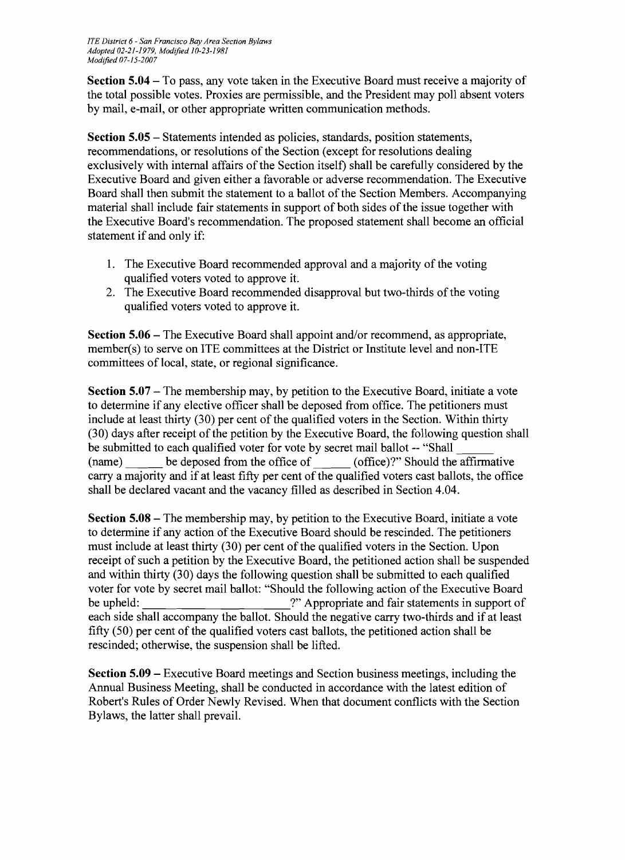**Section 5.04** - To pass, any vote taken in the Executive Board must receive a majority of the total possible votes. Proxies are permissible, and the President may poll absent voters by mail, e-mail, or other appropriate written communication methods.

**Section 5.05** - Statements intended as policies, standards, position statements, recommendations, or resolutions of the Section (except for resolutions dealing exclusively with internal affairs of the Section itself) shall be carefully considered by the Executive Board and given either a favorable or adverse recommendation. The Executive Board shall then submit the statement to a ballot of the Section Members. Accompanying material shall include fair statements in support of both sides of the issue together with the Executive Board's recommendation. The proposed statement shall become an official statement if and only if:

- 1. The Executive Board recommended approval and a majority of the voting qualified voters voted to approve it.
- 2. The Executive Board recommended disapproval but two-thirds of the voting qualified voters voted to approve it.

**Section 5.06** - The Executive Board shall appoint and/or recommend, as appropriate, member(s) to serve on ITE committees at the District or Institute level and non-ITE committees of local, state, or regional significance.

**Section 5.07** - The membership may, by petition to the Executive Board, initiate a vote to determine if any elective officer shall be deposed from office. The petitioners must include at least thirty (30) per cent of the qualified voters in the Section. Within thirty (30) days after receipt of the petition by the Executive Board, the following question shall be submitted to each qualified voter for vote by secret mail ballot -- "Shall (name) be deposed from the office of (office)?" Should the affirmative carry a majority and if at least fifty per cent of the qualified voters cast ballots, the office shall be declared vacant and the vacancy filled as described in Section 4.04.

**Section 5.08** – The membership may, by petition to the Executive Board, initiate a vote to determine if any action of the Executive Board should be rescinded. The petitioners must include at least thirty (30) per cent of the qualified voters in the Section. Upon receipt of such a petition by the Executive Board, the petitioned action shall be suspended and within thirty (30) days the following question shall be submitted to each qualified voter for vote by secret mail ballot: "Should the following action of the Executive Board be upheld:  $?''$  Appropriate and fair statements in support of each side shall accompany the ballot. Should the negative carry two-thirds and if at least fifty (50) per cent of the qualified voters cast ballots, the petitioned action shall be rescinded; otherwise, the suspension shall be lifted.

**Section 5.09** - Executive Board meetings and Section business meetings, including the Annual Business Meeting, shall be conducted in accordance with the latest edition of Robert's Rules of Order Newly Revised. When that document conflicts with the Section Bylaws, the latter shall prevail.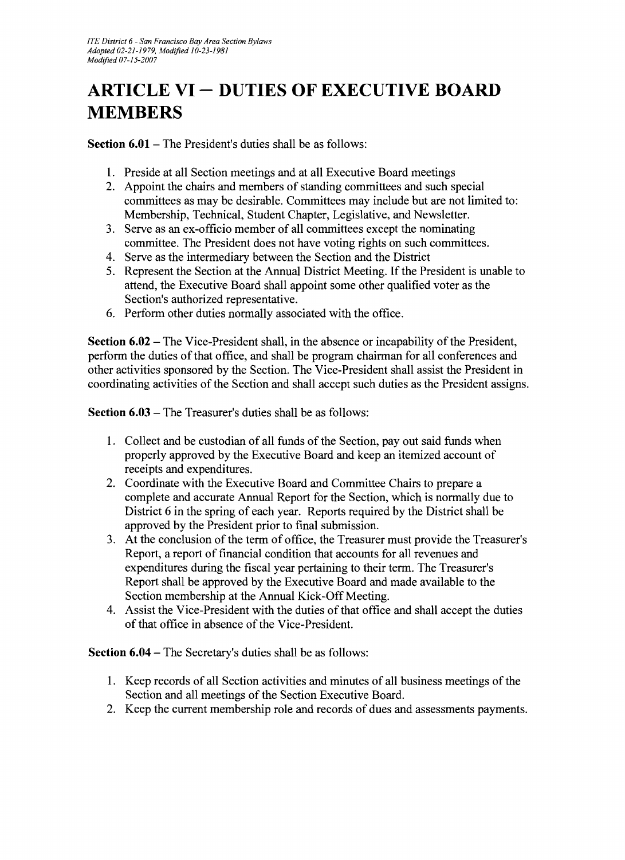# **ARTICLE VI - DUTIES OF EXECUTIVE BOARD MEMBERS**

**Section 6.01 – The President's duties shall be as follows:** 

- 1. Preside at all Section meetings and at all Executive Board meetings
- 2. Appoint the chairs and members of standing committees and such special committees as may be desirable. Committees may include but are not limited to: Membership, Technical, Student Chapter, Legislative, and Newsletter.
- 3. Serve as an ex-officio member of all committees except the nominating committee. The President does not have voting rights on such committees.
- 4. Serve as the intermediary between the Section and the District
- 5. Represent the Section at the Annual District Meeting. If the President is unable to attend, the Executive Board shall appoint some other qualified voter as the Section's authorized representative.
- 6. Perform other duties normally associated with the office.

**Section 6.02** – The Vice-President shall, in the absence or incapability of the President, perform the duties of that office, and shall be program chairman for all conferences and other activities sponsored by the Section. The Vice-President shall assist the President in coordinating activities of the Section and shall accept such duties as the President assigns.

**Section 6.03 – The Treasurer's duties shall be as follows:** 

- 1. Collect and be custodian of all funds of the Section, pay out said funds when properly approved by the Executive Board and keep an itemized account of receipts and expenditures.
- 2. Coordinate with the Executive Board and Committee Chairs to prepare a complete and accurate Annual Report for the Section, which is normally due to District 6 in the spring of each year. Reports required by the District shall be approved by the President prior to final submission.
- 3. At the conclusion of the term of office, the Treasurer must provide the Treasurer's Report, a report of financial condition that accounts for all revenues and expenditures during the fiscal year pertaining to their term. The Treasurer's Report shall be approved by the Executive Board and made available to the Section membership at the Annual Kick-Off Meeting.
- 4. Assist the Vice-President with the duties of that office and shall accept the duties of that office in absence of the Vice-President.

**Section 6.04** - The Secretary's duties shall be as follows:

- 1. Keep records of all Section activities and minutes of all business meetings of the Section and all meetings of the Section Executive Board.
- 2. Keep the current membership role and records of dues and assessments payments.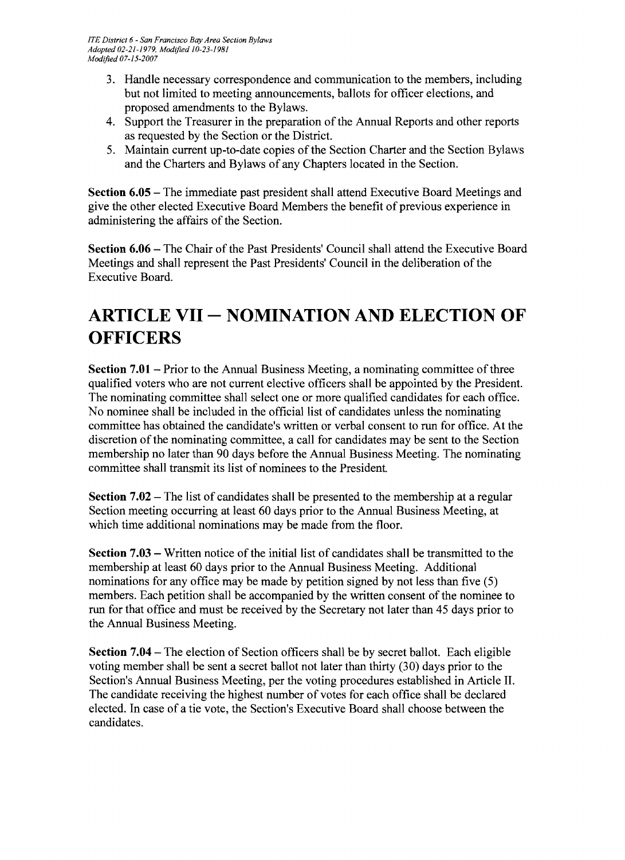- 3. Handle necessary correspondence and communication to the members, including but not limited to meeting announcements, ballots for officer elections, and proposed amendments to the Bylaws.
- 4. Support the Treasurer in the preparation of the Annual Reports and other reports as requested by the Section or the District.
- 5. Maintain current up-to-date copies of the Section Charter and the Section Bylaws and the Charters and Bylaws of any Chapters located in the Section.

**Section 6.05 – The immediate past president shall attend Executive Board Meetings and** give the other elected Executive Board Members the benefit of previous experience in administering the affairs of the Section.

**Section 6.06** – The Chair of the Past Presidents' Council shall attend the Executive Board Meetings and shall represent the Past Presidents' Council in the deliberation of the Executive Board.

## **ARTICLE VII - NOMINATION AND ELECTION OF OFFICERS**

**Section 7.01** – Prior to the Annual Business Meeting, a nominating committee of three qualified voters who are not current elective officers shall be appointed by the President. The nominating committee shall select one or more qualified candidates for each office. No nominee shall be included in the official list of candidates unless the nominating committee has obtained the candidate's written or verbal consent to run for office. At the discretion of the nominating committee, a call for candidates may be sent to the Section membership no later than 90 days before the Annual Business Meeting. The nominating committee shall transmit its list of nominees to the President

**Section 7.02** – The list of candidates shall be presented to the membership at a regular Section meeting occurring at least 60 days prior to the Annual Business Meeting, at which time additional nominations may be made from the floor.

**Section 7.03** – Written notice of the initial list of candidates shall be transmitted to the membership at least 60 days prior to the Annual Business Meeting. Additional nominations for any office may be made by petition signed by not less than five (5) members. Each petition shall be accompanied by the written consent of the nominee to run for that office and must be received by the Secretary not later than 45 days prior to the Annual Business Meeting.

**Section 7.04** – The election of Section officers shall be by secret ballot. Each eligible voting member shall be sent a secret ballot not later than thirty (30) days prior to the Section's Annual Business Meeting, per the voting procedures established in Article II. The candidate receiving the highest number of votes for each office shall be declared elected. In case of a tie vote, the Section's Executive Board shall choose between the candidates.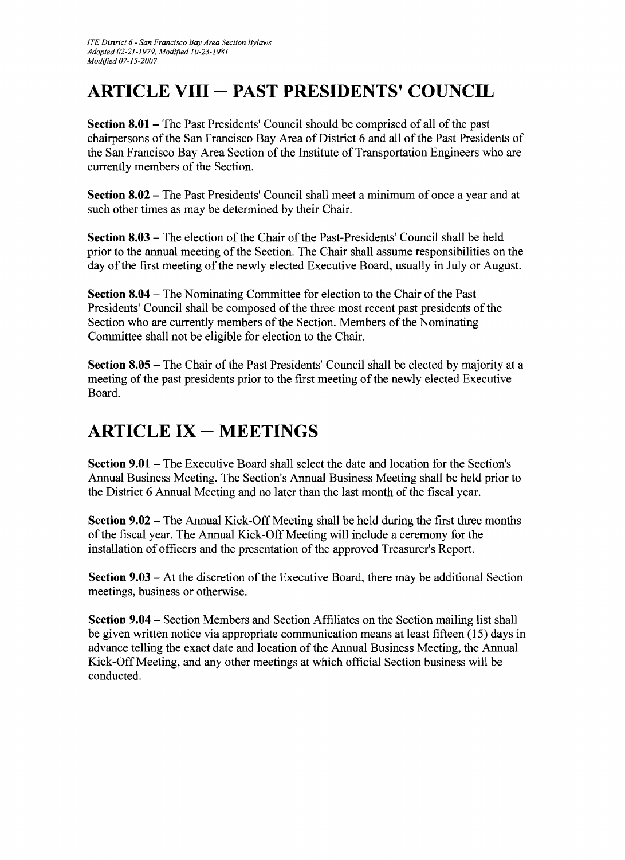## **ARTICLE VIII - PAST PRESIDENTS' COUNCIL**

**Section 8.01** – The Past Presidents' Council should be comprised of all of the past chairpersons of the San Francisco Bay Area of District 6 and all ofthe Past Presidents of the San Francisco Bay Area Section of the Institute of Transportation Engineers who are currently members of the Section.

**Section 8.02** - The Past Presidents' Council shall meet a minimum of once a year and at such other times as may be determined by their Chair.

**Section 8.03** - The election of the Chair of the Past-Presidents' Council shall be held prior to the annual meeting of the Section. The Chair shall assume responsibilities on the day of the first meeting of the newly elected Executive Board, usually in July or August.

**Section 8.04** - The Nominating Committee for election to the Chair of the Past Presidents' Council shall be composed of the three most recent past presidents of the Section who are currently members of the Section. Members of the Nominating Committee shall not be eligible for election to the Chair.

**Section 8.05** - The Chair of the Past Presidents' Council shall be elected by majority at a meeting of the past presidents prior to the first meeting of the newly elected Executive Board.

## **ARTICLE IX - MEETINGS**

**Section 9.01-** The Executive Board shall select the date and location for the Section's Annual Business Meeting. The Section's Annual Business Meeting shall be held prior to the District 6 Annual Meeting and no later than the last month of the fiscal year.

**Section 9.02** – The Annual Kick-Off Meeting shall be held during the first three months of the fiscal year. The Annual Kick-Off Meeting will include a ceremony for the installation of officers and the presentation of the approved Treasurer's Report.

**Section 9.03** - At the discretion of the Executive Board, there may be additional Section meetings, business or otherwise.

**Section 9.04** - Section Members and Section Affiliates on the Section mailing list shall be given written notice via appropriate communication means at least fifteen (15) days in advance telling the exact date and location of the Annual Business Meeting, the Annual Kick-Off Meeting, and any other meetings at which official Section business will be conducted.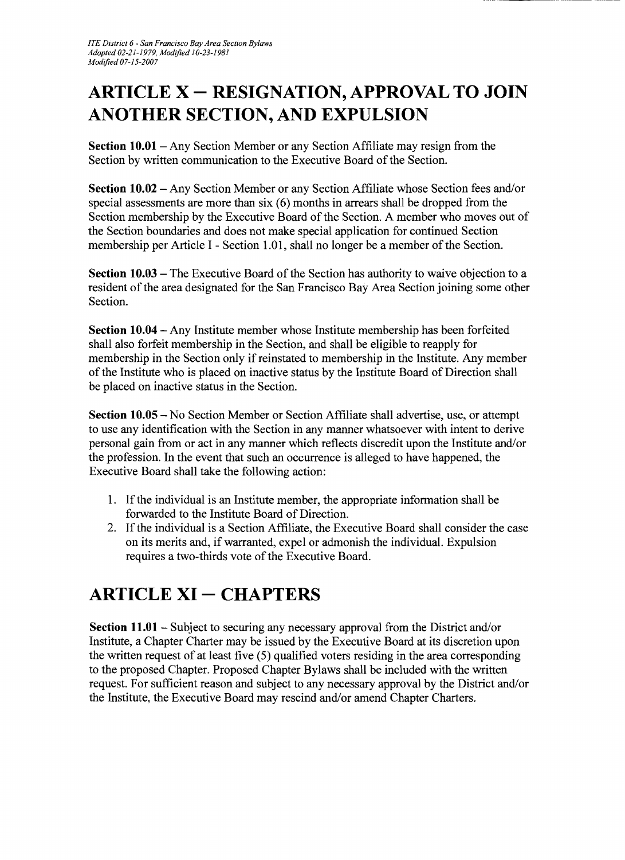# **ARTICLE X - RESIGNATION, APPROVAL TO JOIN ANOTHER SECTION, AND EXPULSION**

**Section 10.01-** Any Section Member or any Section Affiliate may resign from the Section by written communication to the Executive Board of the Section.

**Section 10.02 – Any Section Member or any Section Affiliate whose Section fees and/or** special assessments are more than six (6) months in arrears shall be dropped from the Section membership by the Executive Board of the Section. A member who moves out of the Section boundaries and does not make special application for continued Section membership per Article I - Section 1.01, shall no longer be a member of the Section.

**Section 10.03** – The Executive Board of the Section has authority to waive objection to a resident of the area designated for the San Francisco Bay Area Section joining some other Section.

**Section 10.04** - Any Institute member whose Institute membership has been forfeited shall also forfeit membership in the Section, and shall be eligible to reapply for membership in the Section only if reinstated to membership in the Institute. Any member of the Institute who is placed on inactive status by the Institute Board of Direction shall be placed on inactive status in the Section.

**Section 10.05** - No Section Member or Section Affiliate shall advertise, use, or attempt to use any identification with the Section in any manner whatsoever with intent to derive personal gain from or act in any manner which reflects discredit upon the Institute and/or the profession. In the event that such an occurrence is alleged to have happened, the Executive Board shall take the following action:

- 1. If the individual is an Institute member, the appropriate information shall be forwarded to the Institute Board of Direction.
- 2. If the individual is a Section Affiliate, the Executive Board shall consider the case on its merits and, if warranted, expel or admonish the individual. Expulsion requires a two-thirds vote of the Executive Board.

## **ARTICLE XI - CHAPTERS**

**Section 11.01** - Subject to securing any necessary approval from the District and/or Institute, a Chapter Charter may be issued by the Executive Board at its discretion upon the written request of at least five (5) qualified voters residing in the area corresponding to the proposed Chapter. Proposed Chapter Bylaws shall be included with the written request. For sufficient reason and subject to any necessary approval by the District and/or the Institute, the Executive Board may rescind and/or amend Chapter Charters.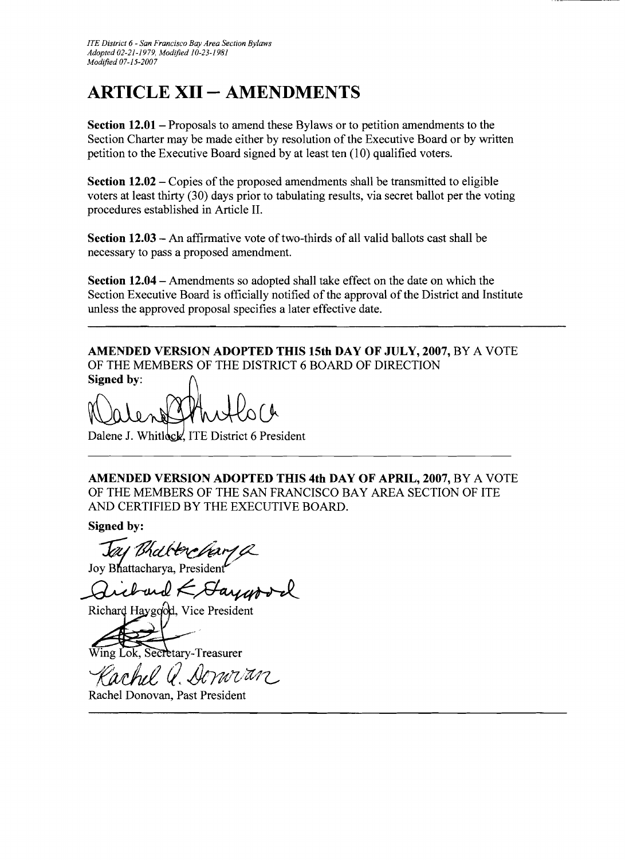## **ARTICLE XII - AMENDMENTS**

**Section 12.01** – Proposals to amend these Bylaws or to petition amendments to the Section Charter may be made either by resolution of the Executive Board or by written petition to the Executive Board signed by at least ten (10) qualified voters.

**Section 12.02** – Copies of the proposed amendments shall be transmitted to eligible voters at least thirty (30) days prior to tabulating results, via secret ballot per the voting procedures established in Article II.

**Section 12.03 – An affirmative vote of two-thirds of all valid ballots cast shall be** necessary to pass a proposed amendment.

**Section 12.04** - Amendments so adopted shall take effect on the date on which the Section Executive Board is officially notified of the approval of the District and Institute unless the approved proposal specifies a later effective date.

**AMENDED VERSION ADOPTED THIS 15th DAY OF JULY, 2007,** BY A VOTE OF THE MEMBERS OF THE DISTRICT 6 BOARD OF DIRECTION **Signed** by:

Dalene J. Whitlock, ITE District 6 President

**AMENDED VERSION ADOPTED THIS 4th DAY OF APRIL, 2007,** BY A VOTE OF THE MEMBERS OF THE SAN FRANCISCO BAY AREA SECTION OF ITE AND CERTIFIED BY THE EXECUTIVE BOARD.

**Signed by:** 

*Jay Bhall tere hary* 

Joy Bhattacharya, President

Richard Haygood, Vice President

Secretary-Treasurer

*fJvdd* rl *&71dl/*tcf *?*

Rachel Donovan, Past President